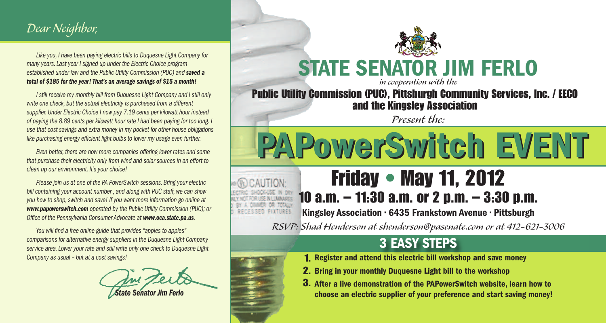### *Dear Neighbor,*

*Like you, I have been paying electric bills to Duquesne Light Company for many years. Last year I signed up under the Electric Choice program established under law and the Public Utility Commission (PUC) and saved a total of \$185 for the year! That's an average savings of \$15 a month!*

*I still receive my monthly bill from Duquesne Light Company and I still only write one check, but the actual electricity is purchased from a different supplier. Under Electric Choice I now pay 7.19 cents per kilowatt hour instead of paying the 8.89 cents per kilowatt hour rate I had been paying for too long. I use that cost savings and extra money in my pocket for other house obligations like purchasing energy efficient light bulbs to lower my usage even further.* 

*Even better, there are now more companies offering lower rates and some that purchase their electricity only from wind and solar sources in an effort to clean up our environment. It's your choice!* 

*Please join us at one of the PA PowerSwitch sessions. Bring your electric bill containing your account number , and along with PUC staff, we can show you how to shop, switch and save! If you want more information go online at www.papowerswitch.com operated by the Public Utility Commission (PUC); or Office of the Pennsylvania Consumer Advocate at www.oca.state.pa.us.*

*You will find a free online guide that provides "apples to apples" comparisons for alternative energy suppliers in the Duquesne Light Company service area. Lower your rate and still write only one check to Duquesne Light Company as usual – but at a cost savings!* 

*State Senator Jim Ferlo* 



#### **STATE SENATOR JIM FERLO** *in cooperation with the*

**Public Utility Commission (PUC), Pittsburgh Community Services, Inc. / EECO and the Kingsley Association** 

*Present the:*

**PAPowerSwitch EVENT PAPowerSwitch EVENT** 

# **Friday • May 11, 2012 10 a.m. – 11:30 a.m. or 2 p.m. – 3:30 p.m.**

**Kingsley Association • 6435 Frankstown Avenue • Pittsburgh**

*RSVP: Shad Henderson at shenderson@pasenate.com or at 412-621-3006*

### **3 EASY STEPS**

- **Register and attend this electric bill workshop and save money 1.**
- **Bring in your monthly Duquesne Light bill to the workshop 2.**
- **After a live demonstration of the PAPowerSwitch website, learn how to 3.choose an electric supplier of your preference and start saving money!**